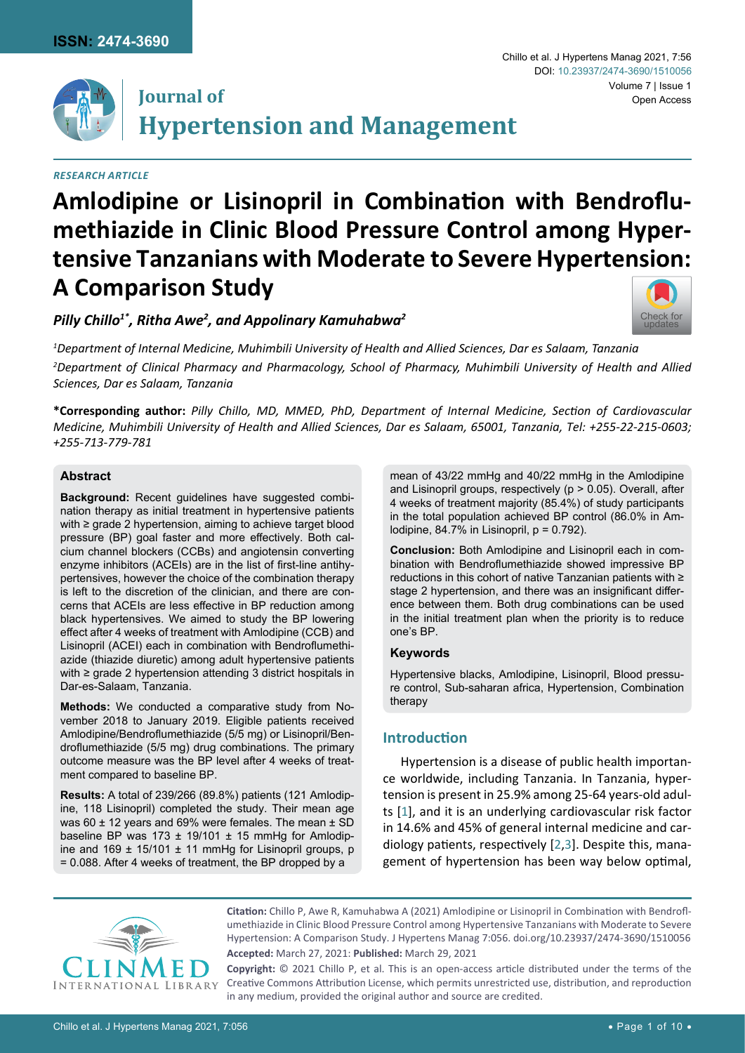

# **Journal of Hypertension and Management**

## *Research Article*

#### Chillo et al. J Hypertens Manag 2021, 7:56 Volume 7 | Issue 1 Open Access DOI: [10.23937/2474-3690/1510056](https://doi.org/10.23937/2474-3690/1510056)



*Pilly Chillo1\*, Ritha Awe2 , and Appolinary Kamuhabwa2*



*1 Department of Internal Medicine, Muhimbili University of Health and Allied Sciences, Dar es Salaam, Tanzania*

*2 Department of Clinical Pharmacy and Pharmacology, School of Pharmacy, Muhimbili University of Health and Allied Sciences, Dar es Salaam, Tanzania*

**\*Corresponding author:** *Pilly Chillo, MD, MMED, PhD, Department of Internal Medicine, Section of Cardiovascular Medicine, Muhimbili University of Health and Allied Sciences, Dar es Salaam, 65001, Tanzania, Tel: +255-22-215-0603; +255-713-779-781*

## **Abstract**

**Background:** Recent guidelines have suggested combination therapy as initial treatment in hypertensive patients with ≥ grade 2 hypertension, aiming to achieve target blood pressure (BP) goal faster and more effectively. Both calcium channel blockers (CCBs) and angiotensin converting enzyme inhibitors (ACEIs) are in the list of first-line antihypertensives, however the choice of the combination therapy is left to the discretion of the clinician, and there are concerns that ACEIs are less effective in BP reduction among black hypertensives. We aimed to study the BP lowering effect after 4 weeks of treatment with Amlodipine (CCB) and Lisinopril (ACEI) each in combination with Bendroflumethiazide (thiazide diuretic) among adult hypertensive patients with ≥ grade 2 hypertension attending 3 district hospitals in Dar-es-Salaam, Tanzania.

**Methods:** We conducted a comparative study from November 2018 to January 2019. Eligible patients received Amlodipine/Bendroflumethiazide (5/5 mg) or Lisinopril/Bendroflumethiazide (5/5 mg) drug combinations. The primary outcome measure was the BP level after 4 weeks of treatment compared to baseline BP.

**Results:** A total of 239/266 (89.8%) patients (121 Amlodipine, 118 Lisinopril) completed the study. Their mean age was 60 ± 12 years and 69% were females. The mean ± SD baseline BP was 173  $\pm$  19/101  $\pm$  15 mmHg for Amlodipine and 169  $\pm$  15/101  $\pm$  11 mmHg for Lisinopril groups, p = 0.088. After 4 weeks of treatment, the BP dropped by a

mean of 43/22 mmHg and 40/22 mmHg in the Amlodipine and Lisinopril groups, respectively (p > 0.05). Overall, after 4 weeks of treatment majority (85.4%) of study participants in the total population achieved BP control (86.0% in Amlodipine,  $84.7\%$  in Lisinopril,  $p = 0.792$ ).

**Conclusion:** Both Amlodipine and Lisinopril each in combination with Bendroflumethiazide showed impressive BP reductions in this cohort of native Tanzanian patients with ≥ stage 2 hypertension, and there was an insignificant difference between them. Both drug combinations can be used in the initial treatment plan when the priority is to reduce one's BP.

### **Keywords**

Hypertensive blacks, Amlodipine, Lisinopril, Blood pressure control, Sub-saharan africa, Hypertension, Combination therapy

# **Introduction**

Hypertension is a disease of public health importance worldwide, including Tanzania. In Tanzania, hypertension is present in 25.9% among 25-64 years-old adults [[1](#page-8-0)], and it is an underlying cardiovascular risk factor in 14.6% and 45% of general internal medicine and cardiology patients, respectively [[2,](#page-8-1)[3\]](#page-8-2). Despite this, management of hypertension has been way below optimal,



**Citation:** Chillo P, Awe R, Kamuhabwa A (2021) Amlodipine or Lisinopril in Combination with Bendroflumethiazide in Clinic Blood Pressure Control among Hypertensive Tanzanians with Moderate to Severe Hypertension: A Comparison Study. J Hypertens Manag 7:056. [doi.org/10.23937/2474-3690/1510056](https://doi.org/10.23937/2474-3690/1510056) **Accepted:** March 27, 2021: **Published:** March 29, 2021

**Copyright:** © 2021 Chillo P, et al. This is an open-access article distributed under the terms of the Creative Commons Attribution License, which permits unrestricted use, distribution, and reproduction in any medium, provided the original author and source are credited.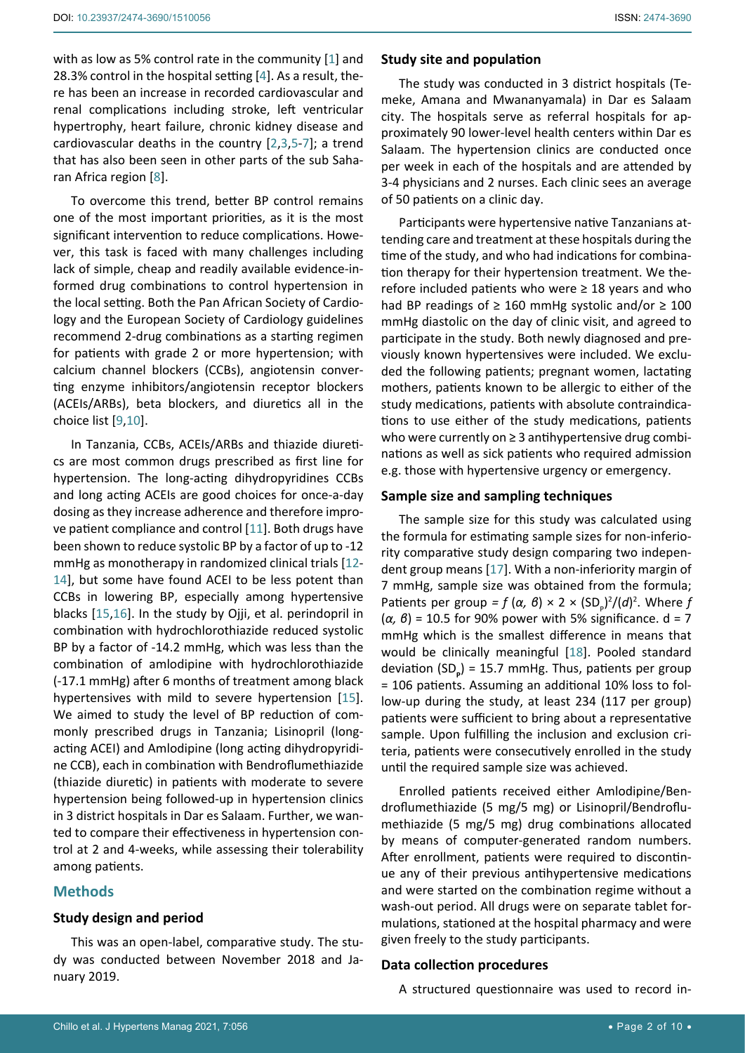with as low as 5% control rate in the community [[1](#page-8-0)] and 28.3% control in the hospital setting [[4](#page-8-3)]. As a result, there has been an increase in recorded cardiovascular and renal complications including stroke, left ventricular hypertrophy, heart failure, chronic kidney disease and cardiovascular deaths in the country [[2,](#page-8-1)[3](#page-8-2),[5](#page-8-4)-[7](#page-8-5)]; a trend that has also been seen in other parts of the sub Saharan Africa region [[8](#page-8-6)].

To overcome this trend, better BP control remains one of the most important priorities, as it is the most significant intervention to reduce complications. However, this task is faced with many challenges including lack of simple, cheap and readily available evidence-informed drug combinations to control hypertension in the local setting. Both the Pan African Society of Cardiology and the European Society of Cardiology guidelines recommend 2-drug combinations as a starting regimen for patients with grade 2 or more hypertension; with calcium channel blockers (CCBs), angiotensin converting enzyme inhibitors/angiotensin receptor blockers (ACEIs/ARBs), beta blockers, and diuretics all in the choice list [[9](#page-8-7)[,10](#page-8-8)].

In Tanzania, CCBs, ACEIs/ARBs and thiazide diuretics are most common drugs prescribed as first line for hypertension. The long-acting dihydropyridines CCBs and long acting ACEIs are good choices for once-a-day dosing as they increase adherence and therefore improve patient compliance and control [[11](#page-8-9)]. Both drugs have been shown to reduce systolic BP by a factor of up to -12 mmHg as monotherapy in randomized clinical trials [[12](#page-8-10)- [14\]](#page-8-11), but some have found ACEI to be less potent than CCBs in lowering BP, especially among hypertensive blacks [[15](#page-8-12),[16\]](#page-8-13). In the study by Ojji, et al. perindopril in combination with hydrochlorothiazide reduced systolic BP by a factor of -14.2 mmHg, which was less than the combination of amlodipine with hydrochlorothiazide (-17.1 mmHg) after 6 months of treatment among black hypertensives with mild to severe hypertension [\[15](#page-8-12)]. We aimed to study the level of BP reduction of commonly prescribed drugs in Tanzania; Lisinopril (longacting ACEI) and Amlodipine (long acting dihydropyridine CCB), each in combination with Bendroflumethiazide (thiazide diuretic) in patients with moderate to severe hypertension being followed-up in hypertension clinics in 3 district hospitals in Dar es Salaam. Further, we wanted to compare their effectiveness in hypertension control at 2 and 4-weeks, while assessing their tolerability among patients.

### **Methods**

### **Study design and period**

This was an open-label, comparative study. The study was conducted between November 2018 and January 2019.

#### **Study site and population**

The study was conducted in 3 district hospitals (Temeke, Amana and Mwananyamala) in Dar es Salaam city. The hospitals serve as referral hospitals for approximately 90 lower-level health centers within Dar es Salaam. The hypertension clinics are conducted once per week in each of the hospitals and are attended by 3-4 physicians and 2 nurses. Each clinic sees an average of 50 patients on a clinic day.

Participants were hypertensive native Tanzanians attending care and treatment at these hospitals during the time of the study, and who had indications for combination therapy for their hypertension treatment. We therefore included patients who were  $\geq$  18 years and who had BP readings of  $≥ 160$  mmHg systolic and/or  $≥ 100$ mmHg diastolic on the day of clinic visit, and agreed to participate in the study. Both newly diagnosed and previously known hypertensives were included. We excluded the following patients; pregnant women, lactating mothers, patients known to be allergic to either of the study medications, patients with absolute contraindications to use either of the study medications, patients who were currently on ≥ 3 antihypertensive drug combinations as well as sick patients who required admission e.g. those with hypertensive urgency or emergency.

## **Sample size and sampling techniques**

The sample size for this study was calculated using the formula for estimating sample sizes for non-inferiority comparative study design comparing two independent group means [[17\]](#page-8-14). With a non-inferiority margin of 7 mmHg, sample size was obtained from the formula; Patients per group =  $f(\alpha, \beta) \times 2 \times (SD_p)^2/(d)^2$ . Where  $f$ (*α, β*) = 10.5 for 90% power with 5% significance. d = 7 mmHg which is the smallest difference in means that would be clinically meaningful [[18](#page-8-15)]. Pooled standard deviation (SD**<sup>P</sup>** ) = 15.7 mmHg. Thus, patients per group = 106 patients. Assuming an additional 10% loss to follow-up during the study, at least 234 (117 per group) patients were sufficient to bring about a representative sample. Upon fulfilling the inclusion and exclusion criteria, patients were consecutively enrolled in the study until the required sample size was achieved.

Enrolled patients received either Amlodipine/Bendroflumethiazide (5 mg/5 mg) or Lisinopril/Bendroflumethiazide (5 mg/5 mg) drug combinations allocated by means of computer-generated random numbers. After enrollment, patients were required to discontinue any of their previous antihypertensive medications and were started on the combination regime without a wash-out period. All drugs were on separate tablet formulations, stationed at the hospital pharmacy and were given freely to the study participants.

## **Data collection procedures**

A structured questionnaire was used to record in-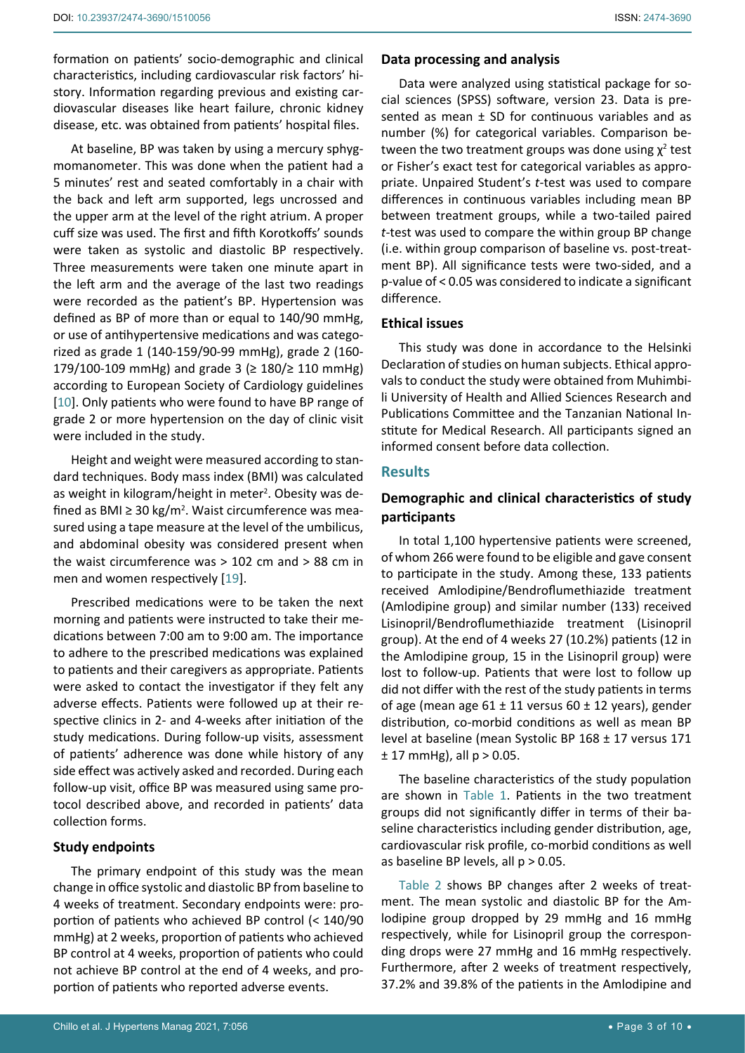formation on patients' socio-demographic and clinical characteristics, including cardiovascular risk factors' history. Information regarding previous and existing cardiovascular diseases like heart failure, chronic kidney disease, etc. was obtained from patients' hospital files.

At baseline, BP was taken by using a mercury sphygmomanometer. This was done when the patient had a 5 minutes' rest and seated comfortably in a chair with the back and left arm supported, legs uncrossed and the upper arm at the level of the right atrium. A proper cuff size was used. The first and fifth Korotkoffs' sounds were taken as systolic and diastolic BP respectively. Three measurements were taken one minute apart in the left arm and the average of the last two readings were recorded as the patient's BP. Hypertension was defined as BP of more than or equal to 140/90 mmHg, or use of antihypertensive medications and was categorized as grade 1 (140-159/90-99 mmHg), grade 2 (160- 179/100-109 mmHg) and grade 3 (≥ 180/≥ 110 mmHg) according to European Society of Cardiology guidelines [[10](#page-8-8)]. Only patients who were found to have BP range of grade 2 or more hypertension on the day of clinic visit were included in the study.

Height and weight were measured according to standard techniques. Body mass index (BMI) was calculated as weight in kilogram/height in meter<sup>2</sup>. Obesity was defined as BMI ≥ 30 kg/m<sup>2</sup>. Waist circumference was measured using a tape measure at the level of the umbilicus, and abdominal obesity was considered present when the waist circumference was > 102 cm and > 88 cm in men and women respectively [\[19](#page-8-16)].

Prescribed medications were to be taken the next morning and patients were instructed to take their medications between 7:00 am to 9:00 am. The importance to adhere to the prescribed medications was explained to patients and their caregivers as appropriate. Patients were asked to contact the investigator if they felt any adverse effects. Patients were followed up at their respective clinics in 2- and 4-weeks after initiation of the study medications. During follow-up visits, assessment of patients' adherence was done while history of any side effect was actively asked and recorded. During each follow-up visit, office BP was measured using same protocol described above, and recorded in patients' data collection forms.

## **Study endpoints**

The primary endpoint of this study was the mean change in office systolic and diastolic BP from baseline to 4 weeks of treatment. Secondary endpoints were: proportion of patients who achieved BP control (< 140/90 mmHg) at 2 weeks, proportion of patients who achieved BP control at 4 weeks, proportion of patients who could not achieve BP control at the end of 4 weeks, and proportion of patients who reported adverse events.

Data were analyzed using statistical package for social sciences (SPSS) software, version 23. Data is presented as mean  $\pm$  SD for continuous variables and as number (%) for categorical variables. Comparison between the two treatment groups was done using  $\chi^2$  test or Fisher's exact test for categorical variables as appropriate. Unpaired Student's *t*-test was used to compare differences in continuous variables including mean BP between treatment groups, while a two-tailed paired *t*-test was used to compare the within group BP change (i.e. within group comparison of baseline vs. post-treatment BP). All significance tests were two-sided, and a p-value of < 0.05 was considered to indicate a significant difference.

## **Ethical issues**

This study was done in accordance to the Helsinki Declaration of studies on human subjects. Ethical approvals to conduct the study were obtained from Muhimbili University of Health and Allied Sciences Research and Publications Committee and the Tanzanian National Institute for Medical Research. All participants signed an informed consent before data collection.

# **Results**

# **Demographic and clinical characteristics of study participants**

In total 1,100 hypertensive patients were screened, of whom 266 were found to be eligible and gave consent to participate in the study. Among these, 133 patients received Amlodipine/Bendroflumethiazide treatment (Amlodipine group) and similar number (133) received Lisinopril/Bendroflumethiazide treatment (Lisinopril group). At the end of 4 weeks 27 (10.2%) patients (12 in the Amlodipine group, 15 in the Lisinopril group) were lost to follow-up. Patients that were lost to follow up did not differ with the rest of the study patients in terms of age (mean age  $61 \pm 11$  versus  $60 \pm 12$  years), gender distribution, co-morbid conditions as well as mean BP level at baseline (mean Systolic BP 168 ± 17 versus 171  $± 17$  mmHg), all  $p > 0.05$ .

The baseline characteristics of the study population are shown in [Table 1](#page-3-0). Patients in the two treatment groups did not significantly differ in terms of their baseline characteristics including gender distribution, age, cardiovascular risk profile, co-morbid conditions as well as baseline BP levels, all  $p > 0.05$ .

[Table 2](#page-3-1) shows BP changes after 2 weeks of treatment. The mean systolic and diastolic BP for the Amlodipine group dropped by 29 mmHg and 16 mmHg respectively, while for Lisinopril group the corresponding drops were 27 mmHg and 16 mmHg respectively. Furthermore, after 2 weeks of treatment respectively, 37.2% and 39.8% of the patients in the Amlodipine and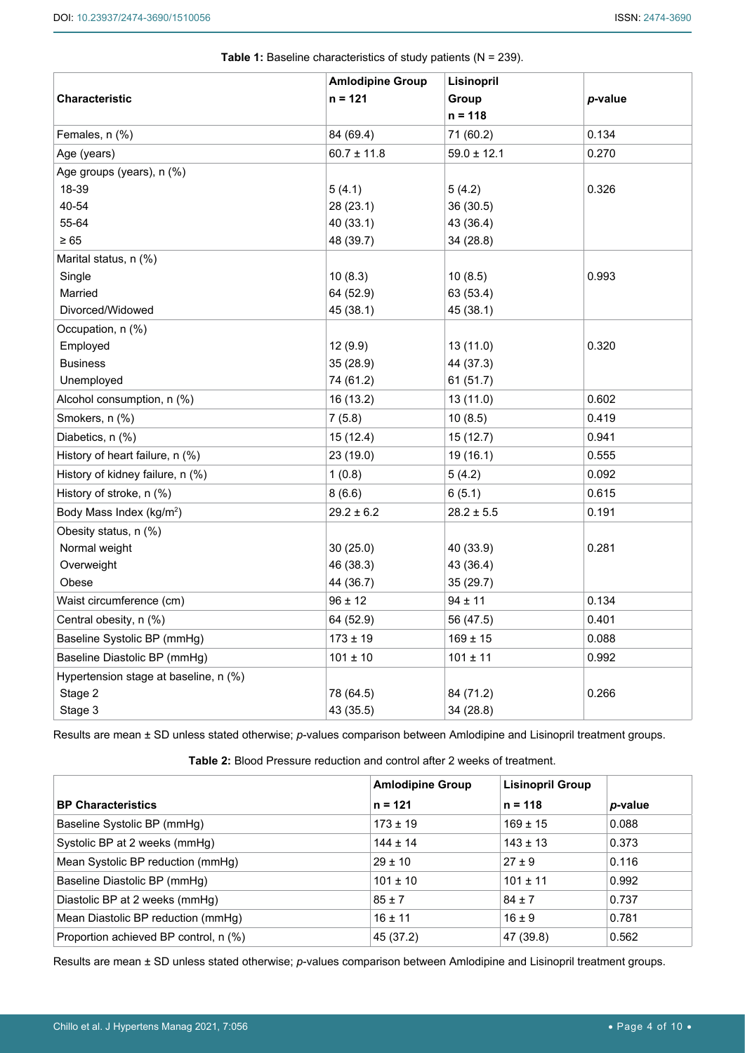|                                       | <b>Amlodipine Group</b> | Lisinopril      |         |
|---------------------------------------|-------------------------|-----------------|---------|
| <b>Characteristic</b>                 | $n = 121$               | Group           | p-value |
|                                       |                         | $n = 118$       |         |
| Females, n (%)                        | 84 (69.4)               | 71 (60.2)       | 0.134   |
| Age (years)                           | $60.7 \pm 11.8$         | $59.0 \pm 12.1$ | 0.270   |
| Age groups (years), n (%)             |                         |                 |         |
| 18-39                                 | 5(4.1)                  | 5(4.2)          | 0.326   |
| 40-54                                 | 28 (23.1)               | 36 (30.5)       |         |
| 55-64                                 | 40 (33.1)               | 43 (36.4)       |         |
| $\geq 65$                             | 48 (39.7)               | 34 (28.8)       |         |
| Marital status, n (%)                 |                         |                 |         |
| Single                                | 10(8.3)                 | 10(8.5)         | 0.993   |
| Married                               | 64 (52.9)               | 63 (53.4)       |         |
| Divorced/Widowed                      | 45 (38.1)               | 45 (38.1)       |         |
| Occupation, n (%)                     |                         |                 |         |
| Employed                              | 12(9.9)                 | 13 (11.0)       | 0.320   |
| <b>Business</b>                       | 35 (28.9)               | 44 (37.3)       |         |
| Unemployed                            | 74 (61.2)               | 61 (51.7)       |         |
| Alcohol consumption, n (%)            | 16 (13.2)               | 13 (11.0)       | 0.602   |
| Smokers, n (%)                        | 7(5.8)                  | 10(8.5)         | 0.419   |
| Diabetics, n (%)                      | 15(12.4)                | 15(12.7)        | 0.941   |
| History of heart failure, n (%)       | 23 (19.0)               | 19 (16.1)       | 0.555   |
| History of kidney failure, n (%)      | 1(0.8)                  | 5(4.2)          | 0.092   |
| History of stroke, n (%)              | 8(6.6)                  | 6(5.1)          | 0.615   |
| Body Mass Index (kg/m <sup>2</sup> )  | $29.2 \pm 6.2$          | $28.2 \pm 5.5$  | 0.191   |
| Obesity status, n (%)                 |                         |                 |         |
| Normal weight                         | 30(25.0)                | 40 (33.9)       | 0.281   |
| Overweight                            | 46 (38.3)               | 43 (36.4)       |         |
| Obese                                 | 44 (36.7)               | 35 (29.7)       |         |
| Waist circumference (cm)              | $96 \pm 12$             | $94 \pm 11$     | 0.134   |
| Central obesity, n (%)                | 64 (52.9)               | 56 (47.5)       | 0.401   |
| Baseline Systolic BP (mmHg)           | $173 \pm 19$            | $169 \pm 15$    | 0.088   |
| Baseline Diastolic BP (mmHg)          | $101 \pm 10$            | $101 \pm 11$    | 0.992   |
| Hypertension stage at baseline, n (%) |                         |                 |         |
| Stage 2                               | 78 (64.5)               | 84 (71.2)       | 0.266   |
| Stage 3                               | 43 (35.5)               | 34 (28.8)       |         |

<span id="page-3-0"></span>**Table 1:** Baseline characteristics of study patients (N = 239).

Results are mean ± SD unless stated otherwise; *p*-values comparison between Amlodipine and Lisinopril treatment groups.

<span id="page-3-1"></span>**Table 2:** Blood Pressure reduction and control after 2 weeks of treatment.

|                                       | <b>Amlodipine Group</b> |              | <b>Lisinopril Group</b> |  |
|---------------------------------------|-------------------------|--------------|-------------------------|--|
| <b>BP Characteristics</b>             | $n = 121$               | $n = 118$    | p-value                 |  |
| Baseline Systolic BP (mmHg)           | $173 \pm 19$            | $169 \pm 15$ | 0.088                   |  |
| Systolic BP at 2 weeks (mmHg)         | $144 \pm 14$            | $143 \pm 13$ | 0.373                   |  |
| Mean Systolic BP reduction (mmHg)     | $29 \pm 10$             | $27 \pm 9$   | 0.116                   |  |
| Baseline Diastolic BP (mmHg)          | $101 \pm 10$            | $101 \pm 11$ | 0.992                   |  |
| Diastolic BP at 2 weeks (mmHg)        | $85 \pm 7$              | $84 \pm 7$   | 0.737                   |  |
| Mean Diastolic BP reduction (mmHg)    | $16 \pm 11$             | $16 \pm 9$   | 0.781                   |  |
| Proportion achieved BP control, n (%) | 45 (37.2)               | 47 (39.8)    | 0.562                   |  |

Results are mean ± SD unless stated otherwise; *p*-values comparison between Amlodipine and Lisinopril treatment groups.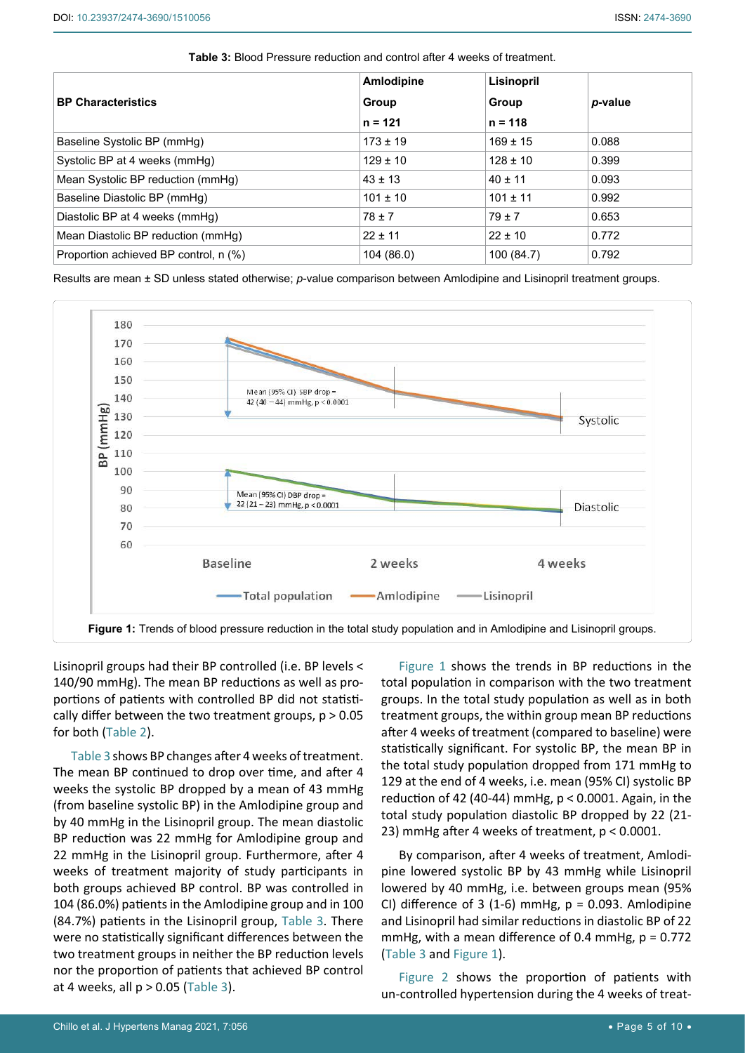|                                       | Amlodipine   | Lisinopril   |         |
|---------------------------------------|--------------|--------------|---------|
| <b>BP Characteristics</b>             | Group        | Group        | p-value |
|                                       | $n = 121$    | $n = 118$    |         |
| Baseline Systolic BP (mmHg)           | $173 \pm 19$ | $169 \pm 15$ | 0.088   |
| Systolic BP at 4 weeks (mmHg)         | $129 \pm 10$ | $128 \pm 10$ | 0.399   |
| Mean Systolic BP reduction (mmHg)     | $43 \pm 13$  | $40 \pm 11$  | 0.093   |
| Baseline Diastolic BP (mmHg)          | $101 \pm 10$ | $101 \pm 11$ | 0.992   |
| Diastolic BP at 4 weeks (mmHq)        | $78 \pm 7$   | $79 \pm 7$   | 0.653   |
| Mean Diastolic BP reduction (mmHg)    | $22 \pm 11$  | $22 \pm 10$  | 0.772   |
| Proportion achieved BP control, n (%) | 104 (86.0)   | 100 (84.7)   | 0.792   |

<span id="page-4-1"></span>**Table 3:** Blood Pressure reduction and control after 4 weeks of treatment.

Results are mean ± SD unless stated otherwise; *p*-value comparison between Amlodipine and Lisinopril treatment groups.

<span id="page-4-0"></span>

Lisinopril groups had their BP controlled (i.e. BP levels < 140/90 mmHg). The mean BP reductions as well as proportions of patients with controlled BP did not statistically differ between the two treatment groups,  $p > 0.05$ for both ([Table 2](#page-3-1)).

[Table 3](#page-4-1) shows BP changes after 4 weeks of treatment. The mean BP continued to drop over time, and after 4 weeks the systolic BP dropped by a mean of 43 mmHg (from baseline systolic BP) in the Amlodipine group and by 40 mmHg in the Lisinopril group. The mean diastolic BP reduction was 22 mmHg for Amlodipine group and 22 mmHg in the Lisinopril group. Furthermore, after 4 weeks of treatment majority of study participants in both groups achieved BP control. BP was controlled in 104 (86.0%) patients in the Amlodipine group and in 100 (84.7%) patients in the Lisinopril group, [Table 3.](#page-4-1) There were no statistically significant differences between the two treatment groups in neither the BP reduction levels nor the proportion of patients that achieved BP control at 4 weeks, all  $p > 0.05$  ([Table 3](#page-4-1)).

[Figure 1](#page-4-0) shows the trends in BP reductions in the total population in comparison with the two treatment groups. In the total study population as well as in both treatment groups, the within group mean BP reductions after 4 weeks of treatment (compared to baseline) were statistically significant. For systolic BP, the mean BP in the total study population dropped from 171 mmHg to 129 at the end of 4 weeks, i.e. mean (95% CI) systolic BP reduction of 42 (40-44) mmHg, p < 0.0001. Again, in the total study population diastolic BP dropped by 22 (21- 23) mmHg after 4 weeks of treatment, p < 0.0001.

By comparison, after 4 weeks of treatment, Amlodipine lowered systolic BP by 43 mmHg while Lisinopril lowered by 40 mmHg, i.e. between groups mean (95% CI) difference of 3 (1-6) mmHg,  $p = 0.093$ . Amlodipine and Lisinopril had similar reductions in diastolic BP of 22 mmHg, with a mean difference of 0.4 mmHg,  $p = 0.772$ ([Table 3](#page-4-1) and [Figure 1](#page-4-0)).

[Figure 2](#page-5-0) shows the proportion of patients with un-controlled hypertension during the 4 weeks of treat-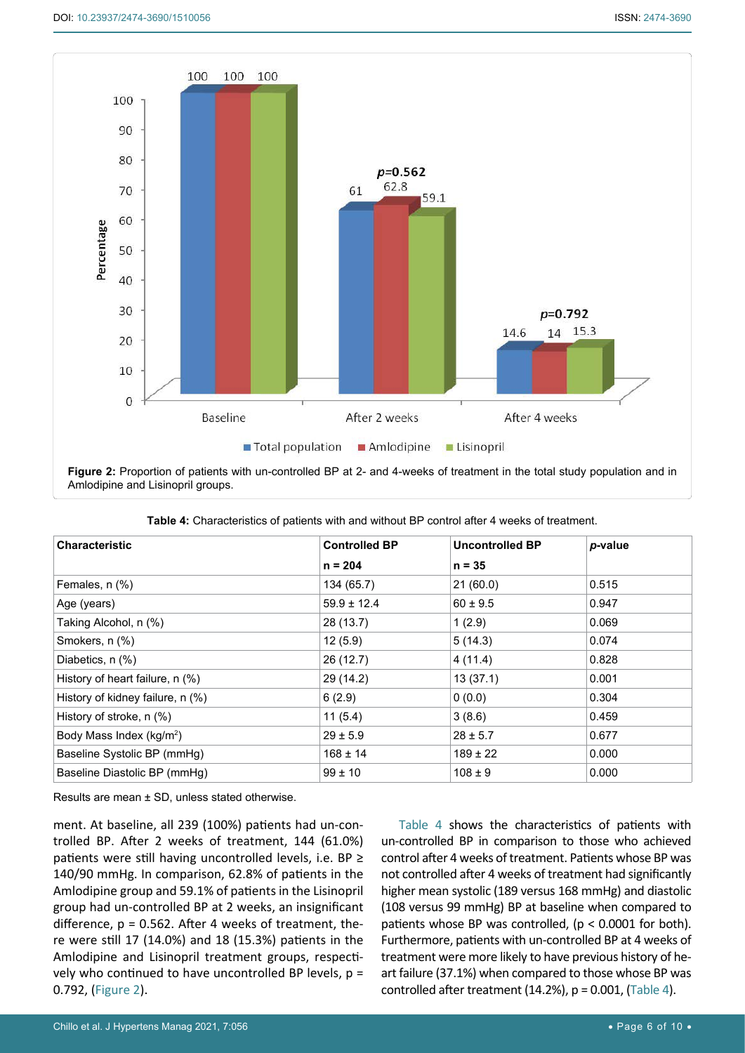<span id="page-5-0"></span>

Amlodipine and Lisinopril groups.

| <b>Characteristic</b>                | <b>Controlled BP</b> | <b>Uncontrolled BP</b> | p-value |
|--------------------------------------|----------------------|------------------------|---------|
|                                      | $n = 204$            | $n = 35$               |         |
| Females, n (%)                       | 134 (65.7)           | 21(60.0)               | 0.515   |
| Age (years)                          | $59.9 \pm 12.4$      | $60 \pm 9.5$           | 0.947   |
| Taking Alcohol, n (%)                | 28 (13.7)            | 1(2.9)                 | 0.069   |
| Smokers, n (%)                       | 12(5.9)              | 5(14.3)                | 0.074   |
| Diabetics, n (%)                     | 26(12.7)             | 4(11.4)                | 0.828   |
| History of heart failure, n (%)      | 29 (14.2)            | 13(37.1)               | 0.001   |
| History of kidney failure, n (%)     | 6(2.9)               | 0(0.0)                 | 0.304   |
| History of stroke, n (%)             | 11(5.4)              | 3(8.6)                 | 0.459   |
| Body Mass Index (kg/m <sup>2</sup> ) | $29 \pm 5.9$         | $28 \pm 5.7$           | 0.677   |
| Baseline Systolic BP (mmHg)          | $168 \pm 14$         | $189 \pm 22$           | 0.000   |
| Baseline Diastolic BP (mmHg)         | $99 \pm 10$          | $108 \pm 9$            | 0.000   |

<span id="page-5-1"></span>

| <b>Table 4:</b> Characteristics of patients with and without BP control after 4 weeks of treatment. |
|-----------------------------------------------------------------------------------------------------|
|-----------------------------------------------------------------------------------------------------|

Results are mean ± SD, unless stated otherwise.

ment. At baseline, all 239 (100%) patients had un-controlled BP. After 2 weeks of treatment, 144 (61.0%) patients were still having uncontrolled levels, i.e. BP ≥ 140/90 mmHg. In comparison, 62.8% of patients in the Amlodipine group and 59.1% of patients in the Lisinopril group had un-controlled BP at 2 weeks, an insignificant difference,  $p = 0.562$ . After 4 weeks of treatment, there were still 17 (14.0%) and 18 (15.3%) patients in the Amlodipine and Lisinopril treatment groups, respectively who continued to have uncontrolled BP levels, p = 0.792, [\(Figure 2](#page-5-0)).

[Table 4](#page-5-1) shows the characteristics of patients with un-controlled BP in comparison to those who achieved control after 4 weeks of treatment. Patients whose BP was not controlled after 4 weeks of treatment had significantly higher mean systolic (189 versus 168 mmHg) and diastolic (108 versus 99 mmHg) BP at baseline when compared to patients whose BP was controlled,  $(p < 0.0001$  for both). Furthermore, patients with un-controlled BP at 4 weeks of treatment were more likely to have previous history of heart failure (37.1%) when compared to those whose BP was controlled after treatment  $(14.2%)$ ,  $p = 0.001$ ,  $(Table 4)$ .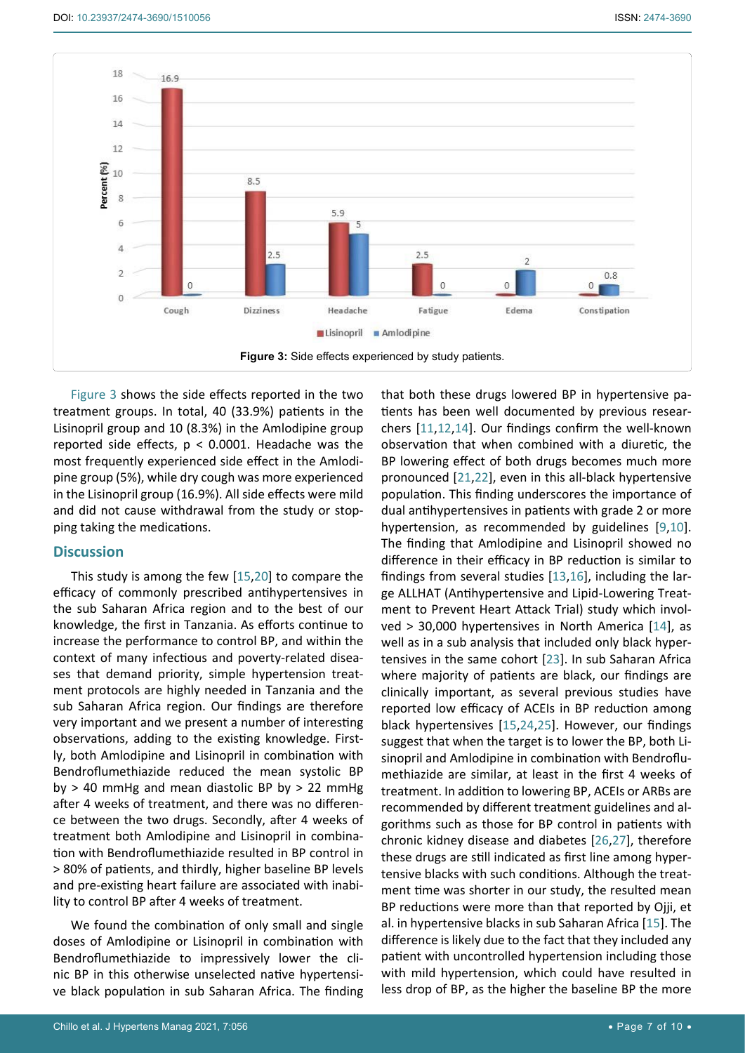<span id="page-6-0"></span>

[Figure 3](#page-6-0) shows the side effects reported in the two treatment groups. In total, 40 (33.9%) patients in the Lisinopril group and 10 (8.3%) in the Amlodipine group reported side effects,  $p < 0.0001$ . Headache was the most frequently experienced side effect in the Amlodipine group (5%), while dry cough was more experienced in the Lisinopril group (16.9%). All side effects were mild and did not cause withdrawal from the study or stopping taking the medications.

#### **Discussion**

This study is among the few [\[15](#page-8-12)[,20](#page-8-25)] to compare the efficacy of commonly prescribed antihypertensives in the sub Saharan Africa region and to the best of our knowledge, the first in Tanzania. As efforts continue to increase the performance to control BP, and within the context of many infectious and poverty-related diseases that demand priority, simple hypertension treatment protocols are highly needed in Tanzania and the sub Saharan Africa region. Our findings are therefore very important and we present a number of interesting observations, adding to the existing knowledge. Firstly, both Amlodipine and Lisinopril in combination with Bendroflumethiazide reduced the mean systolic BP by  $> 40$  mmHg and mean diastolic BP by  $> 22$  mmHg after 4 weeks of treatment, and there was no difference between the two drugs. Secondly, after 4 weeks of treatment both Amlodipine and Lisinopril in combination with Bendroflumethiazide resulted in BP control in > 80% of patients, and thirdly, higher baseline BP levels and pre-existing heart failure are associated with inability to control BP after 4 weeks of treatment.

We found the combination of only small and single doses of Amlodipine or Lisinopril in combination with Bendroflumethiazide to impressively lower the clinic BP in this otherwise unselected native hypertensive black population in sub Saharan Africa. The finding that both these drugs lowered BP in hypertensive patients has been well documented by previous researchers [[11,](#page-8-9)[12,](#page-8-10)[14\]](#page-8-11). Our findings confirm the well-known observation that when combined with a diuretic, the BP lowering effect of both drugs becomes much more pronounced [[21](#page-8-17)[,22](#page-8-18)], even in this all-black hypertensive population. This finding underscores the importance of dual antihypertensives in patients with grade 2 or more hypertension, as recommended by guidelines [\[9](#page-8-7)[,10](#page-8-8)]. The finding that Amlodipine and Lisinopril showed no difference in their efficacy in BP reduction is similar to findings from several studies [[13](#page-8-19),[16\]](#page-8-13), including the large ALLHAT (Antihypertensive and Lipid-Lowering Treatment to Prevent Heart Attack Trial) study which involved > 30,000 hypertensives in North America [[14](#page-8-11)], as well as in a sub analysis that included only black hypertensives in the same cohort [[23\]](#page-8-20). In sub Saharan Africa where majority of patients are black, our findings are clinically important, as several previous studies have reported low efficacy of ACEIs in BP reduction among black hypertensives [[15](#page-8-12),[24](#page-8-21),[25\]](#page-8-22). However, our findings suggest that when the target is to lower the BP, both Lisinopril and Amlodipine in combination with Bendroflumethiazide are similar, at least in the first 4 weeks of treatment. In addition to lowering BP, ACEIs or ARBs are recommended by different treatment guidelines and algorithms such as those for BP control in patients with chronic kidney disease and diabetes [[26](#page-8-23),[27\]](#page-8-24), therefore these drugs are still indicated as first line among hypertensive blacks with such conditions. Although the treatment time was shorter in our study, the resulted mean BP reductions were more than that reported by Ojji, et al. in hypertensive blacks in sub Saharan Africa [[15\]](#page-8-12). The difference is likely due to the fact that they included any patient with uncontrolled hypertension including those with mild hypertension, which could have resulted in less drop of BP, as the higher the baseline BP the more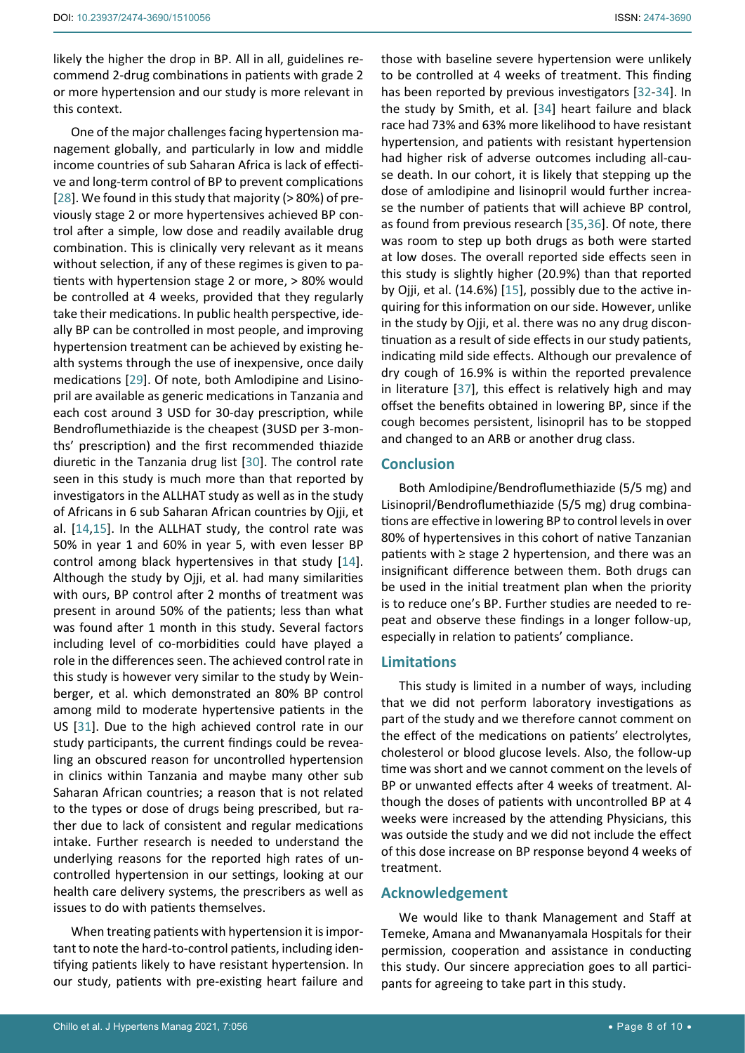One of the major challenges facing hypertension management globally, and particularly in low and middle income countries of sub Saharan Africa is lack of effective and long-term control of BP to prevent complications [[28](#page-9-5)]. We found in this study that majority (> 80%) of previously stage 2 or more hypertensives achieved BP control after a simple, low dose and readily available drug combination. This is clinically very relevant as it means without selection, if any of these regimes is given to patients with hypertension stage 2 or more, > 80% would be controlled at 4 weeks, provided that they regularly take their medications. In public health perspective, ideally BP can be controlled in most people, and improving hypertension treatment can be achieved by existing health systems through the use of inexpensive, once daily medications [\[29](#page-9-6)]. Of note, both Amlodipine and Lisinopril are available as generic medications in Tanzania and each cost around 3 USD for 30-day prescription, while Bendroflumethiazide is the cheapest (3USD per 3-months' prescription) and the first recommended thiazide diuretic in the Tanzania drug list [\[30\]](#page-9-7). The control rate seen in this study is much more than that reported by investigators in the ALLHAT study as well as in the study of Africans in 6 sub Saharan African countries by Ojji, et al. [\[14](#page-8-11),[15](#page-8-12)]. In the ALLHAT study, the control rate was 50% in year 1 and 60% in year 5, with even lesser BP control among black hypertensives in that study [\[14](#page-8-11)]. Although the study by Ojji, et al. had many similarities with ours, BP control after 2 months of treatment was present in around 50% of the patients; less than what was found after 1 month in this study. Several factors including level of co-morbidities could have played a role in the differences seen. The achieved control rate in this study is however very similar to the study by Weinberger, et al. which demonstrated an 80% BP control among mild to moderate hypertensive patients in the US [[31](#page-9-8)]. Due to the high achieved control rate in our study participants, the current findings could be revealing an obscured reason for uncontrolled hypertension in clinics within Tanzania and maybe many other sub Saharan African countries; a reason that is not related to the types or dose of drugs being prescribed, but rather due to lack of consistent and regular medications intake. Further research is needed to understand the underlying reasons for the reported high rates of uncontrolled hypertension in our settings, looking at our health care delivery systems, the prescribers as well as issues to do with patients themselves.

When treating patients with hypertension it is important to note the hard-to-control patients, including identifying patients likely to have resistant hypertension. In our study, patients with pre-existing heart failure and those with baseline severe hypertension were unlikely to be controlled at 4 weeks of treatment. This finding has been reported by previous investigators [\[32](#page-9-0)-[34](#page-9-1)]. In the study by Smith, et al. [[34](#page-9-1)] heart failure and black race had 73% and 63% more likelihood to have resistant hypertension, and patients with resistant hypertension had higher risk of adverse outcomes including all-cause death. In our cohort, it is likely that stepping up the dose of amlodipine and lisinopril would further increase the number of patients that will achieve BP control, as found from previous research [[35](#page-9-2),[36\]](#page-9-3). Of note, there was room to step up both drugs as both were started at low doses. The overall reported side effects seen in this study is slightly higher (20.9%) than that reported by Ojji, et al. (14.6%) [[15\]](#page-8-12), possibly due to the active inquiring for this information on our side. However, unlike in the study by Ojji, et al. there was no any drug discontinuation as a result of side effects in our study patients, indicating mild side effects. Although our prevalence of dry cough of 16.9% is within the reported prevalence in literature [[37\]](#page-9-4), this effect is relatively high and may offset the benefits obtained in lowering BP, since if the cough becomes persistent, lisinopril has to be stopped and changed to an ARB or another drug class.

## **Conclusion**

Both Amlodipine/Bendroflumethiazide (5/5 mg) and Lisinopril/Bendroflumethiazide (5/5 mg) drug combinations are effective in lowering BP to control levels in over 80% of hypertensives in this cohort of native Tanzanian patients with ≥ stage 2 hypertension, and there was an insignificant difference between them. Both drugs can be used in the initial treatment plan when the priority is to reduce one's BP. Further studies are needed to repeat and observe these findings in a longer follow-up, especially in relation to patients' compliance.

## **Limitations**

This study is limited in a number of ways, including that we did not perform laboratory investigations as part of the study and we therefore cannot comment on the effect of the medications on patients' electrolytes, cholesterol or blood glucose levels. Also, the follow-up time was short and we cannot comment on the levels of BP or unwanted effects after 4 weeks of treatment. Although the doses of patients with uncontrolled BP at 4 weeks were increased by the attending Physicians, this was outside the study and we did not include the effect of this dose increase on BP response beyond 4 weeks of treatment.

# **Acknowledgement**

We would like to thank Management and Staff at Temeke, Amana and Mwananyamala Hospitals for their permission, cooperation and assistance in conducting this study. Our sincere appreciation goes to all participants for agreeing to take part in this study.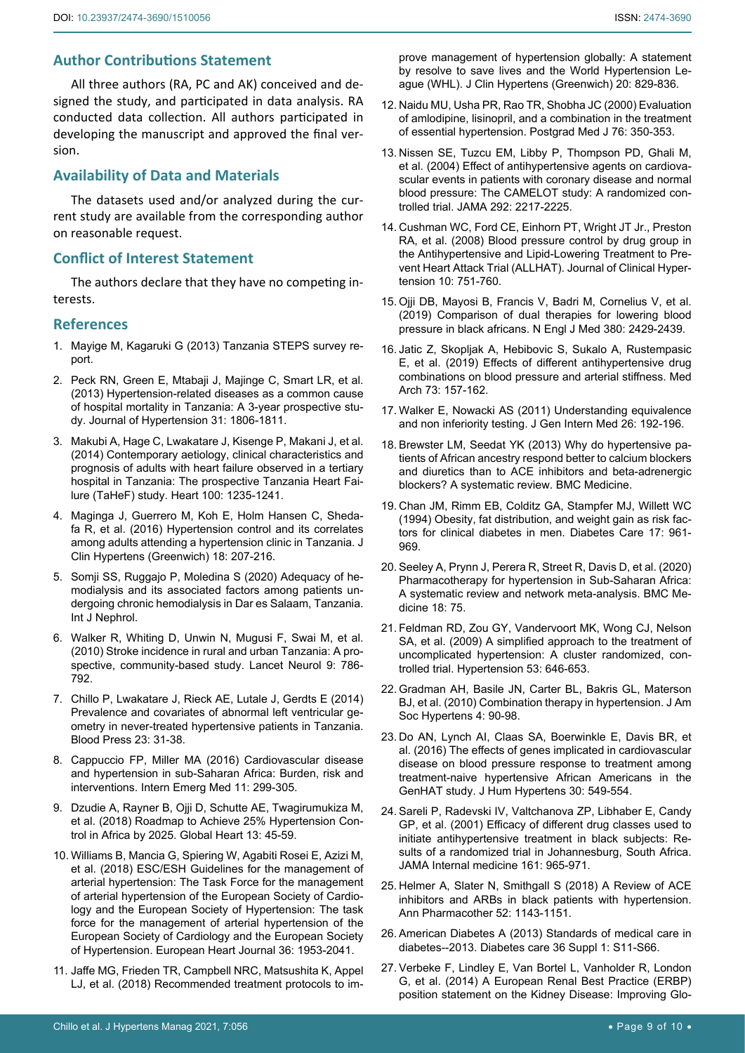## **Author Contributions Statement**

All three authors (RA, PC and AK) conceived and designed the study, and participated in data analysis. RA conducted data collection. All authors participated in developing the manuscript and approved the final version.

## **Availability of Data and Materials**

The datasets used and/or analyzed during the current study are available from the corresponding author on reasonable request.

## **Conflict of Interest Statement**

The authors declare that they have no competing interests.

## **References**

- <span id="page-8-0"></span>1. [Mayige M, Kagaruki G \(2013\) Tanzania STEPS survey re](https://www.who.int/ncds/surveillance/steps/UR_Tanzania_2012_STEPS_Report.pdf)[port.](https://www.who.int/ncds/surveillance/steps/UR_Tanzania_2012_STEPS_Report.pdf)
- <span id="page-8-1"></span>2. [Peck RN, Green E, Mtabaji J, Majinge C, Smart LR, et al.](https://journals.lww.com/jhypertension/Abstract/2013/09000/Hypertension_related_diseases_as_a_common_cause_of.9.aspx)  [\(2013\) Hypertension-related diseases as a common cause](https://journals.lww.com/jhypertension/Abstract/2013/09000/Hypertension_related_diseases_as_a_common_cause_of.9.aspx)  [of hospital mortality in Tanzania: A 3-year prospective stu](https://journals.lww.com/jhypertension/Abstract/2013/09000/Hypertension_related_diseases_as_a_common_cause_of.9.aspx)[dy. Journal of Hypertension 31: 1806-1811.](https://journals.lww.com/jhypertension/Abstract/2013/09000/Hypertension_related_diseases_as_a_common_cause_of.9.aspx)
- <span id="page-8-2"></span>3. [Makubi A, Hage C, Lwakatare J, Kisenge P, Makani J, et al.](https://pubmed.ncbi.nlm.nih.gov/24743164/)  [\(2014\) Contemporary aetiology, clinical characteristics and](https://pubmed.ncbi.nlm.nih.gov/24743164/)  [prognosis of adults with heart failure observed in a tertiary](https://pubmed.ncbi.nlm.nih.gov/24743164/)  [hospital in Tanzania: The prospective Tanzania Heart Fai](https://pubmed.ncbi.nlm.nih.gov/24743164/)[lure \(TaHeF\) study. Heart 100: 1235-1241.](https://pubmed.ncbi.nlm.nih.gov/24743164/)
- <span id="page-8-3"></span>4. [Maginga J, Guerrero M, Koh E, Holm Hansen C, Sheda](https://www.ncbi.nlm.nih.gov/pmc/articles/PMC4757509/)[fa R, et al. \(2016\) Hypertension control and its correlates](https://www.ncbi.nlm.nih.gov/pmc/articles/PMC4757509/)  [among adults attending a hypertension clinic in Tanzania. J](https://www.ncbi.nlm.nih.gov/pmc/articles/PMC4757509/)  [Clin Hypertens \(Greenwich\) 18: 207-216.](https://www.ncbi.nlm.nih.gov/pmc/articles/PMC4757509/)
- <span id="page-8-4"></span>5. [Somji SS, Ruggajo P, Moledina S \(2020\) Adequacy of he](https://www.ncbi.nlm.nih.gov/pmc/articles/PMC7035558/)[modialysis and its associated factors among patients un](https://www.ncbi.nlm.nih.gov/pmc/articles/PMC7035558/)[dergoing chronic hemodialysis in Dar es Salaam, Tanzania.](https://www.ncbi.nlm.nih.gov/pmc/articles/PMC7035558/)  [Int J Nephrol.](https://www.ncbi.nlm.nih.gov/pmc/articles/PMC7035558/)
- 6. [Walker R, Whiting D, Unwin N, Mugusi F, Swai M, et al.](https://www.sciencedirect.com/science/article/pii/S1474442210701447)  [\(2010\) Stroke incidence in rural and urban Tanzania: A pro](https://www.sciencedirect.com/science/article/pii/S1474442210701447)[spective, community-based study. Lancet Neurol 9: 786-](https://www.sciencedirect.com/science/article/pii/S1474442210701447) [792.](https://www.sciencedirect.com/science/article/pii/S1474442210701447)
- <span id="page-8-5"></span>7. [Chillo P, Lwakatare J, Rieck AE, Lutale J, Gerdts E \(2014\)](https://pubmed.ncbi.nlm.nih.gov/23721542/)  [Prevalence and covariates of abnormal left ventricular ge](https://pubmed.ncbi.nlm.nih.gov/23721542/)[ometry in never-treated hypertensive patients in Tanzania.](https://pubmed.ncbi.nlm.nih.gov/23721542/)  [Blood Press 23: 31-38.](https://pubmed.ncbi.nlm.nih.gov/23721542/)
- <span id="page-8-6"></span>8. [Cappuccio FP, Miller MA \(2016\) Cardiovascular disease](https://pubmed.ncbi.nlm.nih.gov/27001886/)  [and hypertension in sub-Saharan Africa: Burden, risk and](https://pubmed.ncbi.nlm.nih.gov/27001886/)  [interventions. Intern Emerg Med 11: 299-305.](https://pubmed.ncbi.nlm.nih.gov/27001886/)
- <span id="page-8-7"></span>9. [Dzudie A, Rayner B, Ojji D, Schutte AE, Twagirumukiza M,](https://pubmed.ncbi.nlm.nih.gov/29042191/)  [et al. \(2018\) Roadmap to Achieve 25% Hypertension Con](https://pubmed.ncbi.nlm.nih.gov/29042191/)[trol in Africa by 2025. Global Heart 13: 45-59.](https://pubmed.ncbi.nlm.nih.gov/29042191/)
- <span id="page-8-8"></span>10. [Williams B, Mancia G, Spiering W, Agabiti Rosei E, Azizi M,](https://academic.oup.com/eurheartj/article/39/33/3021/5079119)  [et al. \(2018\) ESC/ESH Guidelines for the management of](https://academic.oup.com/eurheartj/article/39/33/3021/5079119)  [arterial hypertension: The Task Force for the management](https://academic.oup.com/eurheartj/article/39/33/3021/5079119)  [of arterial hypertension of the European Society of Cardio](https://academic.oup.com/eurheartj/article/39/33/3021/5079119)[logy and the European Society of Hypertension: The task](https://academic.oup.com/eurheartj/article/39/33/3021/5079119)  [force for the management of arterial hypertension of the](https://academic.oup.com/eurheartj/article/39/33/3021/5079119)  [European Society of Cardiology and the European Society](https://academic.oup.com/eurheartj/article/39/33/3021/5079119)  [of Hypertension. European Heart Journal 36: 1953-2041.](https://academic.oup.com/eurheartj/article/39/33/3021/5079119)
- <span id="page-8-9"></span>11. [Jaffe MG, Frieden TR, Campbell NRC, Matsushita K, Appel](https://pubmed.ncbi.nlm.nih.gov/29700951/)  [LJ, et al. \(2018\) Recommended treatment protocols to im](https://pubmed.ncbi.nlm.nih.gov/29700951/)-

[prove management of hypertension globally: A statement](https://pubmed.ncbi.nlm.nih.gov/29700951/)  [by resolve to save lives and the World Hypertension Le](https://pubmed.ncbi.nlm.nih.gov/29700951/)[ague \(WHL\). J Clin Hypertens \(Greenwich\) 20: 829-836.](https://pubmed.ncbi.nlm.nih.gov/29700951/)

- <span id="page-8-10"></span>12. [Naidu MU, Usha PR, Rao TR, Shobha JC \(2000\) Evaluation](https://pmj.bmj.com/content/76/896/350)  [of amlodipine, lisinopril, and a combination in the treatment](https://pmj.bmj.com/content/76/896/350)  [of essential hypertension. Postgrad Med J 76: 350-353.](https://pmj.bmj.com/content/76/896/350)
- <span id="page-8-19"></span>13. [Nissen SE, Tuzcu EM, Libby P, Thompson PD, Ghali M,](https://pubmed.ncbi.nlm.nih.gov/15536108/)  [et al. \(2004\) Effect of antihypertensive agents on cardiova](https://pubmed.ncbi.nlm.nih.gov/15536108/)[scular events in patients with coronary disease and normal](https://pubmed.ncbi.nlm.nih.gov/15536108/)  [blood pressure: The CAMELOT study: A randomized con](https://pubmed.ncbi.nlm.nih.gov/15536108/)[trolled trial. JAMA 292: 2217-2225.](https://pubmed.ncbi.nlm.nih.gov/15536108/)
- <span id="page-8-11"></span>14. [Cushman WC, Ford CE, Einhorn PT, Wright JT Jr., Preston](https://onlinelibrary.wiley.com/doi/full/10.1111/j.1751-7176.2008.00015.x)  [RA, et al. \(2008\) Blood pressure control by drug group in](https://onlinelibrary.wiley.com/doi/full/10.1111/j.1751-7176.2008.00015.x)  [the Antihypertensive and Lipid-Lowering Treatment to Pre](https://onlinelibrary.wiley.com/doi/full/10.1111/j.1751-7176.2008.00015.x)[vent Heart Attack Trial \(ALLHAT\). Journal of Clinical Hyper](https://onlinelibrary.wiley.com/doi/full/10.1111/j.1751-7176.2008.00015.x)[tension 10: 751-760.](https://onlinelibrary.wiley.com/doi/full/10.1111/j.1751-7176.2008.00015.x)
- <span id="page-8-12"></span>15. [Ojji DB, Mayosi B, Francis V, Badri M, Cornelius V, et al.](https://pubmed.ncbi.nlm.nih.gov/30883050/)  [\(2019\) Comparison of dual therapies for lowering blood](https://pubmed.ncbi.nlm.nih.gov/30883050/)  [pressure in black africans. N Engl J Med 380: 2429-2439.](https://pubmed.ncbi.nlm.nih.gov/30883050/)
- <span id="page-8-13"></span>16. [Jatic Z, Skopljak A, Hebibovic S, Sukalo A, Rustempasic](https://pubmed.ncbi.nlm.nih.gov/31391706/)  [E, et al. \(2019\) Effects of different antihypertensive drug](https://pubmed.ncbi.nlm.nih.gov/31391706/)  [combinations on blood pressure and arterial stiffness. Med](https://pubmed.ncbi.nlm.nih.gov/31391706/)  [Arch 73: 157-162.](https://pubmed.ncbi.nlm.nih.gov/31391706/)
- <span id="page-8-14"></span>17. [Walker E, Nowacki AS \(2011\) Understanding equivalence](https://pubmed.ncbi.nlm.nih.gov/20857339/)  [and non inferiority testing. J Gen Intern Med 26: 192-196.](https://pubmed.ncbi.nlm.nih.gov/20857339/)
- <span id="page-8-15"></span>18. [Brewster LM, Seedat YK \(2013\) Why do hypertensive pa](https://www.ncbi.nlm.nih.gov/pmc/articles/PMC3681568/)[tients of African ancestry respond better to calcium blockers](https://www.ncbi.nlm.nih.gov/pmc/articles/PMC3681568/)  [and diuretics than to ACE inhibitors and beta-adrenergic](https://www.ncbi.nlm.nih.gov/pmc/articles/PMC3681568/)  [blockers? A systematic review. BMC Medicine.](https://www.ncbi.nlm.nih.gov/pmc/articles/PMC3681568/)
- <span id="page-8-16"></span>19. [Chan JM, Rimm EB, Colditz GA, Stampfer MJ, Willett WC](https://pubmed.ncbi.nlm.nih.gov/7988316/)  [\(1994\) Obesity, fat distribution, and weight gain as risk fac](https://pubmed.ncbi.nlm.nih.gov/7988316/)[tors for clinical diabetes in men. Diabetes Care 17: 961-](https://pubmed.ncbi.nlm.nih.gov/7988316/) [969.](https://pubmed.ncbi.nlm.nih.gov/7988316/)
- <span id="page-8-25"></span>20. [Seeley A, Prynn J, Perera R, Street R, Davis D, et al. \(2020\)](https://www.x-mol.com/paper/1243638971462631424)  [Pharmacotherapy for hypertension in Sub-Saharan Africa:](https://www.x-mol.com/paper/1243638971462631424)  [A systematic review and network meta-analysis. BMC Me](https://www.x-mol.com/paper/1243638971462631424)[dicine 18: 75.](https://www.x-mol.com/paper/1243638971462631424)
- <span id="page-8-17"></span>21. [Feldman RD, Zou GY, Vandervoort MK, Wong CJ, Nelson](https://pubmed.ncbi.nlm.nih.gov/19237683/)  [SA, et al. \(2009\) A simplified approach to the treatment of](https://pubmed.ncbi.nlm.nih.gov/19237683/)  [uncomplicated hypertension: A cluster randomized, con](https://pubmed.ncbi.nlm.nih.gov/19237683/)[trolled trial. Hypertension 53: 646-653.](https://pubmed.ncbi.nlm.nih.gov/19237683/)
- <span id="page-8-18"></span>22. [Gradman AH, Basile JN, Carter BL, Bakris GL, Materson](https://pubmed.ncbi.nlm.nih.gov/20374950/)  [BJ, et al. \(2010\) Combination therapy in hypertension. J Am](https://pubmed.ncbi.nlm.nih.gov/20374950/)  [Soc Hypertens 4: 90-98.](https://pubmed.ncbi.nlm.nih.gov/20374950/)
- <span id="page-8-20"></span>23. [Do AN, Lynch AI, Claas SA, Boerwinkle E, Davis BR, et](https://pubmed.ncbi.nlm.nih.gov/26791477/)  [al. \(2016\) The effects of genes implicated in cardiovascular](https://pubmed.ncbi.nlm.nih.gov/26791477/)  [disease on blood pressure response to treatment among](https://pubmed.ncbi.nlm.nih.gov/26791477/)  [treatment-naive hypertensive African Americans in the](https://pubmed.ncbi.nlm.nih.gov/26791477/)  [GenHAT study. J Hum Hypertens 30: 549-554.](https://pubmed.ncbi.nlm.nih.gov/26791477/)
- <span id="page-8-21"></span>24. [Sareli P, Radevski IV, Valtchanova ZP, Libhaber E, Candy](https://jamanetwork.com/journals/jamainternalmedicine/fullarticle/647866)  [GP, et al. \(2001\) Efficacy of different drug classes used to](https://jamanetwork.com/journals/jamainternalmedicine/fullarticle/647866)  [initiate antihypertensive treatment in black subjects: Re](https://jamanetwork.com/journals/jamainternalmedicine/fullarticle/647866)[sults of a randomized trial in Johannesburg, South Africa.](https://jamanetwork.com/journals/jamainternalmedicine/fullarticle/647866)  [JAMA Internal medicine 161: 965-971.](https://jamanetwork.com/journals/jamainternalmedicine/fullarticle/647866)
- <span id="page-8-22"></span>25. [Helmer A, Slater N, Smithgall S \(2018\) A Review of ACE](https://pubmed.ncbi.nlm.nih.gov/29808707/)  [inhibitors and ARBs in black patients with hypertension.](https://pubmed.ncbi.nlm.nih.gov/29808707/)  [Ann Pharmacother 52: 1143-1151.](https://pubmed.ncbi.nlm.nih.gov/29808707/)
- <span id="page-8-23"></span>26. [American Diabetes A \(2013\) Standards of medical care in](https://care.diabetesjournals.org/content/36/Supplement_1/S11)  [diabetes--2013. Diabetes care 36 Suppl 1: S11-S66.](https://care.diabetesjournals.org/content/36/Supplement_1/S11)
- <span id="page-8-24"></span>27. [Verbeke F, Lindley E, Van Bortel L, Vanholder R, London](https://pubmed.ncbi.nlm.nih.gov/24071661/)  [G, et al. \(2014\) A European Renal Best Practice \(ERBP\)](https://pubmed.ncbi.nlm.nih.gov/24071661/)  [position statement on the Kidney Disease: Improving Glo](https://pubmed.ncbi.nlm.nih.gov/24071661/)-